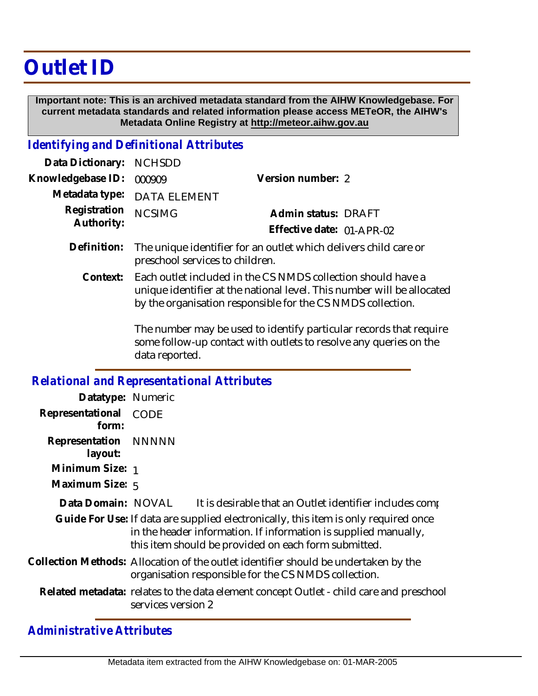## **Outlet ID**

 **Important note: This is an archived metadata standard from the AIHW Knowledgebase. For current metadata standards and related information please access METeOR, the AIHW's Metadata Online Registry at http://meteor.aihw.gov.au**

## *Identifying and Definitional Attributes*

| Data Dictionary: NCHSDD  |                             |                           |  |
|--------------------------|-----------------------------|---------------------------|--|
| Knowledgebase ID: 000909 |                             | Version number: 2         |  |
|                          | Metadata type: DATA ELEMENT |                           |  |
| Registration NCSIMG      |                             | Admin status: DRAFT       |  |
| Authority:               |                             | Effective date: 01-APR-02 |  |
|                          |                             |                           |  |

- The unique identifier for an outlet which delivers child care or preschool services to children. **Definition:**
	- Each outlet included in the CS NMDS collection should have a unique identifier at the national level. This number will be allocated by the organisation responsible for the CS NMDS collection. **Context:**

The number may be used to identify particular records that require some follow-up contact with outlets to resolve any queries on the data reported.

|                                 | <b>Relational and Representational Attributes</b>                                                                                                                                                                                                                         |
|---------------------------------|---------------------------------------------------------------------------------------------------------------------------------------------------------------------------------------------------------------------------------------------------------------------------|
| Datatype: Numeric               |                                                                                                                                                                                                                                                                           |
| Representational<br>form:       | <b>CODE</b>                                                                                                                                                                                                                                                               |
| Representation NNNNN<br>layout: |                                                                                                                                                                                                                                                                           |
| Minimum Size: 1                 |                                                                                                                                                                                                                                                                           |
| Maximum Size: 5                 |                                                                                                                                                                                                                                                                           |
| Data Domain: NOVAL              | It is desirable that an Outlet identifier includes comp<br>Guide For Use: If data are supplied electronically, this item is only required once<br>in the header information. If information is supplied manually,<br>this item should be provided on each form submitted. |
|                                 | Collection Methods: Allocation of the outlet identifier should be undertaken by the<br>organisation responsible for the CS NMDS collection.                                                                                                                               |
|                                 | Related metadata: relates to the data element concept Outlet - child care and preschool<br>services version 2                                                                                                                                                             |

*Administrative Attributes*